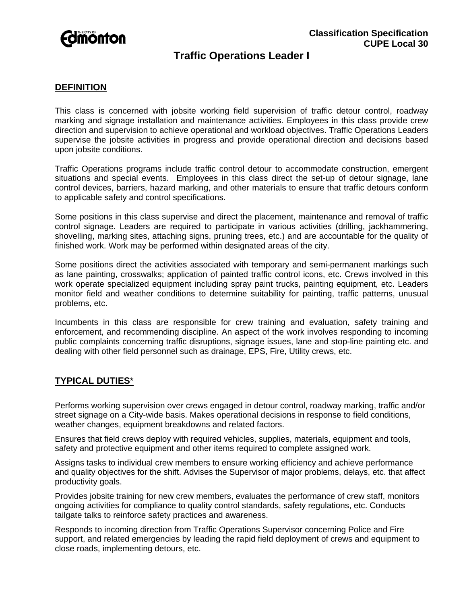

# **Traffic Operations Leader I**

### **DEFINITION**

This class is concerned with jobsite working field supervision of traffic detour control, roadway marking and signage installation and maintenance activities. Employees in this class provide crew direction and supervision to achieve operational and workload objectives. Traffic Operations Leaders supervise the jobsite activities in progress and provide operational direction and decisions based upon jobsite conditions.

Traffic Operations programs include traffic control detour to accommodate construction, emergent situations and special events. Employees in this class direct the set-up of detour signage, lane control devices, barriers, hazard marking, and other materials to ensure that traffic detours conform to applicable safety and control specifications.

Some positions in this class supervise and direct the placement, maintenance and removal of traffic control signage. Leaders are required to participate in various activities (drilling, jackhammering, shovelling, marking sites, attaching signs, pruning trees, etc.) and are accountable for the quality of finished work. Work may be performed within designated areas of the city.

Some positions direct the activities associated with temporary and semi-permanent markings such as lane painting, crosswalks; application of painted traffic control icons, etc. Crews involved in this work operate specialized equipment including spray paint trucks, painting equipment, etc. Leaders monitor field and weather conditions to determine suitability for painting, traffic patterns, unusual problems, etc.

Incumbents in this class are responsible for crew training and evaluation, safety training and enforcement, and recommending discipline. An aspect of the work involves responding to incoming public complaints concerning traffic disruptions, signage issues, lane and stop-line painting etc. and dealing with other field personnel such as drainage, EPS, Fire, Utility crews, etc.

# **TYPICAL DUTIES**\*

Performs working supervision over crews engaged in detour control, roadway marking, traffic and/or street signage on a City-wide basis. Makes operational decisions in response to field conditions, weather changes, equipment breakdowns and related factors.

Ensures that field crews deploy with required vehicles, supplies, materials, equipment and tools, safety and protective equipment and other items required to complete assigned work.

Assigns tasks to individual crew members to ensure working efficiency and achieve performance and quality objectives for the shift. Advises the Supervisor of major problems, delays, etc. that affect productivity goals.

Provides jobsite training for new crew members, evaluates the performance of crew staff, monitors ongoing activities for compliance to quality control standards, safety regulations, etc. Conducts tailgate talks to reinforce safety practices and awareness.

Responds to incoming direction from Traffic Operations Supervisor concerning Police and Fire support, and related emergencies by leading the rapid field deployment of crews and equipment to close roads, implementing detours, etc.